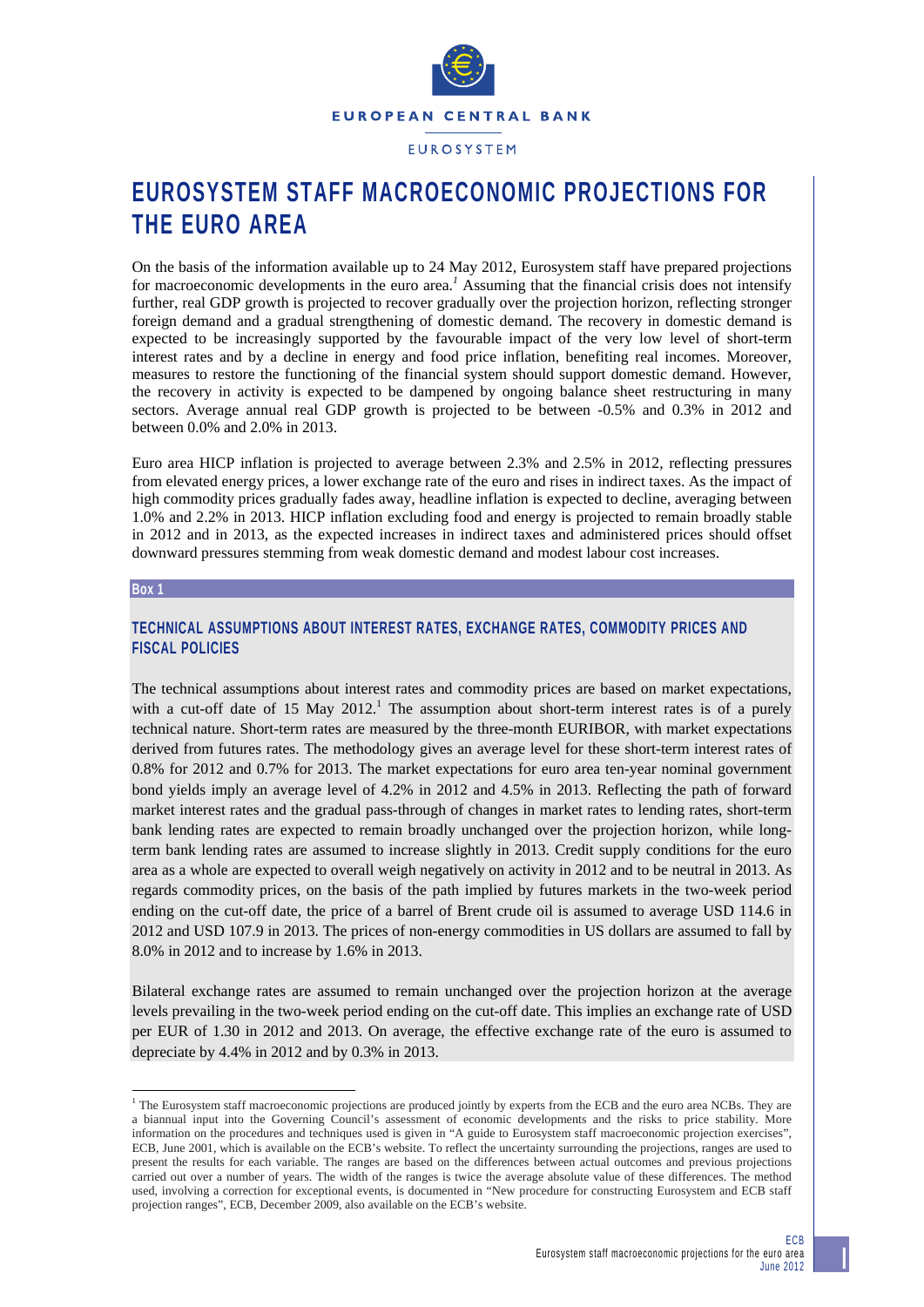

# **EUROSYSTEM STAFF MACROECONOMIC PROJECTIONS FOR THE EURO AREA**

On the basis of the information available up to 24 May 2012, Eurosystem staff have prepared projections for macroeconomic developments in the euro area.<sup>1</sup> Assuming that the financial crisis does not intensify further, real GDP growth is projected to recover gradually over the projection horizon, reflecting stronger foreign demand and a gradual strengthening of domestic demand. The recovery in domestic demand is expected to be increasingly supported by the favourable impact of the very low level of short-term interest rates and by a decline in energy and food price inflation, benefiting real incomes. Moreover, measures to restore the functioning of the financial system should support domestic demand. However, the recovery in activity is expected to be dampened by ongoing balance sheet restructuring in many sectors. Average annual real GDP growth is projected to be between -0.5% and 0.3% in 2012 and between 0.0% and 2.0% in 2013.

Euro area HICP inflation is projected to average between 2.3% and 2.5% in 2012, reflecting pressures from elevated energy prices, a lower exchange rate of the euro and rises in indirect taxes. As the impact of high commodity prices gradually fades away, headline inflation is expected to decline, averaging between 1.0% and 2.2% in 2013. HICP inflation excluding food and energy is projected to remain broadly stable in 2012 and in 2013, as the expected increases in indirect taxes and administered prices should offset downward pressures stemming from weak domestic demand and modest labour cost increases.

#### **Box 1**

1

# **TECHNICAL ASSUMPTIONS ABOUT INTEREST RATES, EXCHANGE RATES, COMMODITY PRICES AND FISCAL POLICIES**

The technical assumptions about interest rates and commodity prices are based on market expectations, with a cut-off date of 15 May 2012.<sup>1</sup> The assumption about short-term interest rates is of a purely technical nature. Short-term rates are measured by the three-month EURIBOR, with market expectations derived from futures rates. The methodology gives an average level for these short-term interest rates of 0.8% for 2012 and 0.7% for 2013. The market expectations for euro area ten-year nominal government bond yields imply an average level of 4.2% in 2012 and 4.5% in 2013. Reflecting the path of forward market interest rates and the gradual pass-through of changes in market rates to lending rates, short-term bank lending rates are expected to remain broadly unchanged over the projection horizon, while longterm bank lending rates are assumed to increase slightly in 2013. Credit supply conditions for the euro area as a whole are expected to overall weigh negatively on activity in 2012 and to be neutral in 2013. As regards commodity prices, on the basis of the path implied by futures markets in the two-week period ending on the cut-off date, the price of a barrel of Brent crude oil is assumed to average USD 114.6 in 2012 and USD 107.9 in 2013. The prices of non-energy commodities in US dollars are assumed to fall by 8.0% in 2012 and to increase by 1.6% in 2013.

Bilateral exchange rates are assumed to remain unchanged over the projection horizon at the average levels prevailing in the two-week period ending on the cut-off date. This implies an exchange rate of USD per EUR of 1.30 in 2012 and 2013. On average, the effective exchange rate of the euro is assumed to depreciate by 4.4% in 2012 and by 0.3% in 2013.

<sup>&</sup>lt;sup>1</sup> The Eurosystem staff macroeconomic projections are produced jointly by experts from the ECB and the euro area NCBs. They are a biannual input into the Governing Council's assessment of economic developments and the risks to price stability. More information on the procedures and techniques used is given in "A guide to Eurosystem staff macroeconomic projection exercises", ECB, June 2001, which is available on the ECB's website. To reflect the uncertainty surrounding the projections, ranges are used to present the results for each variable. The ranges are based on the differences between actual outcomes and previous projections carried out over a number of years. The width of the ranges is twice the average absolute value of these differences. The method used, involving a correction for exceptional events, is documented in "New procedure for constructing Eurosystem and ECB staff projection ranges", ECB, December 2009, also available on the ECB's website.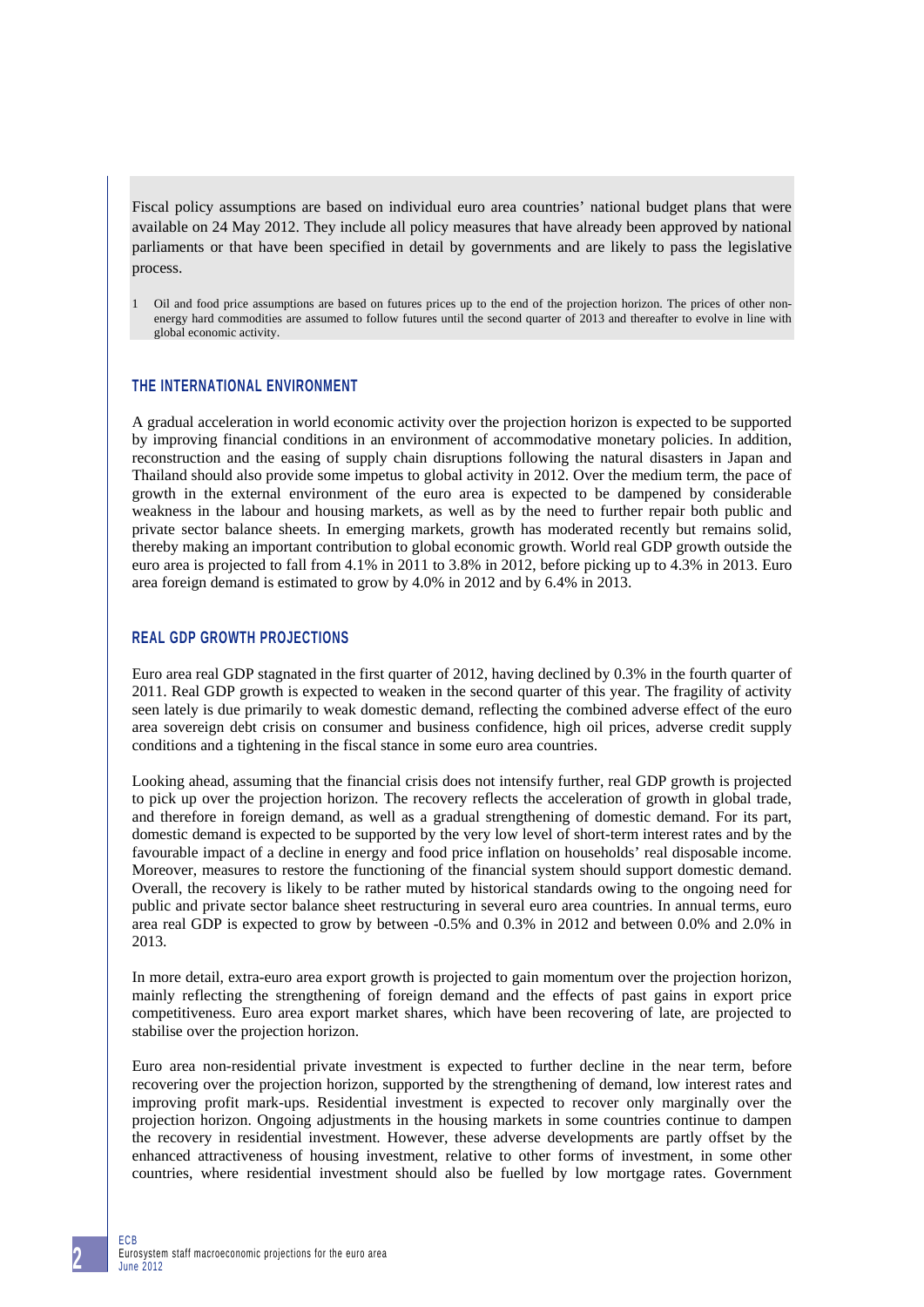Fiscal policy assumptions are based on individual euro area countries' national budget plans that were available on 24 May 2012. They include all policy measures that have already been approved by national parliaments or that have been specified in detail by governments and are likely to pass the legislative process.

1 Oil and food price assumptions are based on futures prices up to the end of the projection horizon. The prices of other nonenergy hard commodities are assumed to follow futures until the second quarter of 2013 and thereafter to evolve in line with global economic activity.

## **THE INTERNATIONAL ENVIRONMENT**

A gradual acceleration in world economic activity over the projection horizon is expected to be supported by improving financial conditions in an environment of accommodative monetary policies. In addition, reconstruction and the easing of supply chain disruptions following the natural disasters in Japan and Thailand should also provide some impetus to global activity in 2012. Over the medium term, the pace of growth in the external environment of the euro area is expected to be dampened by considerable weakness in the labour and housing markets, as well as by the need to further repair both public and private sector balance sheets. In emerging markets, growth has moderated recently but remains solid, thereby making an important contribution to global economic growth. World real GDP growth outside the euro area is projected to fall from 4.1% in 2011 to 3.8% in 2012, before picking up to 4.3% in 2013. Euro area foreign demand is estimated to grow by 4.0% in 2012 and by 6.4% in 2013.

# **REAL GDP GROWTH PROJECTIONS**

Euro area real GDP stagnated in the first quarter of 2012, having declined by 0.3% in the fourth quarter of 2011. Real GDP growth is expected to weaken in the second quarter of this year. The fragility of activity seen lately is due primarily to weak domestic demand, reflecting the combined adverse effect of the euro area sovereign debt crisis on consumer and business confidence, high oil prices, adverse credit supply conditions and a tightening in the fiscal stance in some euro area countries.

Looking ahead, assuming that the financial crisis does not intensify further, real GDP growth is projected to pick up over the projection horizon. The recovery reflects the acceleration of growth in global trade, and therefore in foreign demand, as well as a gradual strengthening of domestic demand. For its part, domestic demand is expected to be supported by the very low level of short-term interest rates and by the favourable impact of a decline in energy and food price inflation on households' real disposable income. Moreover, measures to restore the functioning of the financial system should support domestic demand. Overall, the recovery is likely to be rather muted by historical standards owing to the ongoing need for public and private sector balance sheet restructuring in several euro area countries. In annual terms, euro area real GDP is expected to grow by between -0.5% and 0.3% in 2012 and between 0.0% and 2.0% in 2013.

In more detail, extra-euro area export growth is projected to gain momentum over the projection horizon, mainly reflecting the strengthening of foreign demand and the effects of past gains in export price competitiveness. Euro area export market shares, which have been recovering of late, are projected to stabilise over the projection horizon.

Euro area non-residential private investment is expected to further decline in the near term, before recovering over the projection horizon, supported by the strengthening of demand, low interest rates and improving profit mark-ups. Residential investment is expected to recover only marginally over the projection horizon. Ongoing adjustments in the housing markets in some countries continue to dampen the recovery in residential investment. However, these adverse developments are partly offset by the enhanced attractiveness of housing investment, relative to other forms of investment, in some other countries, where residential investment should also be fuelled by low mortgage rates. Government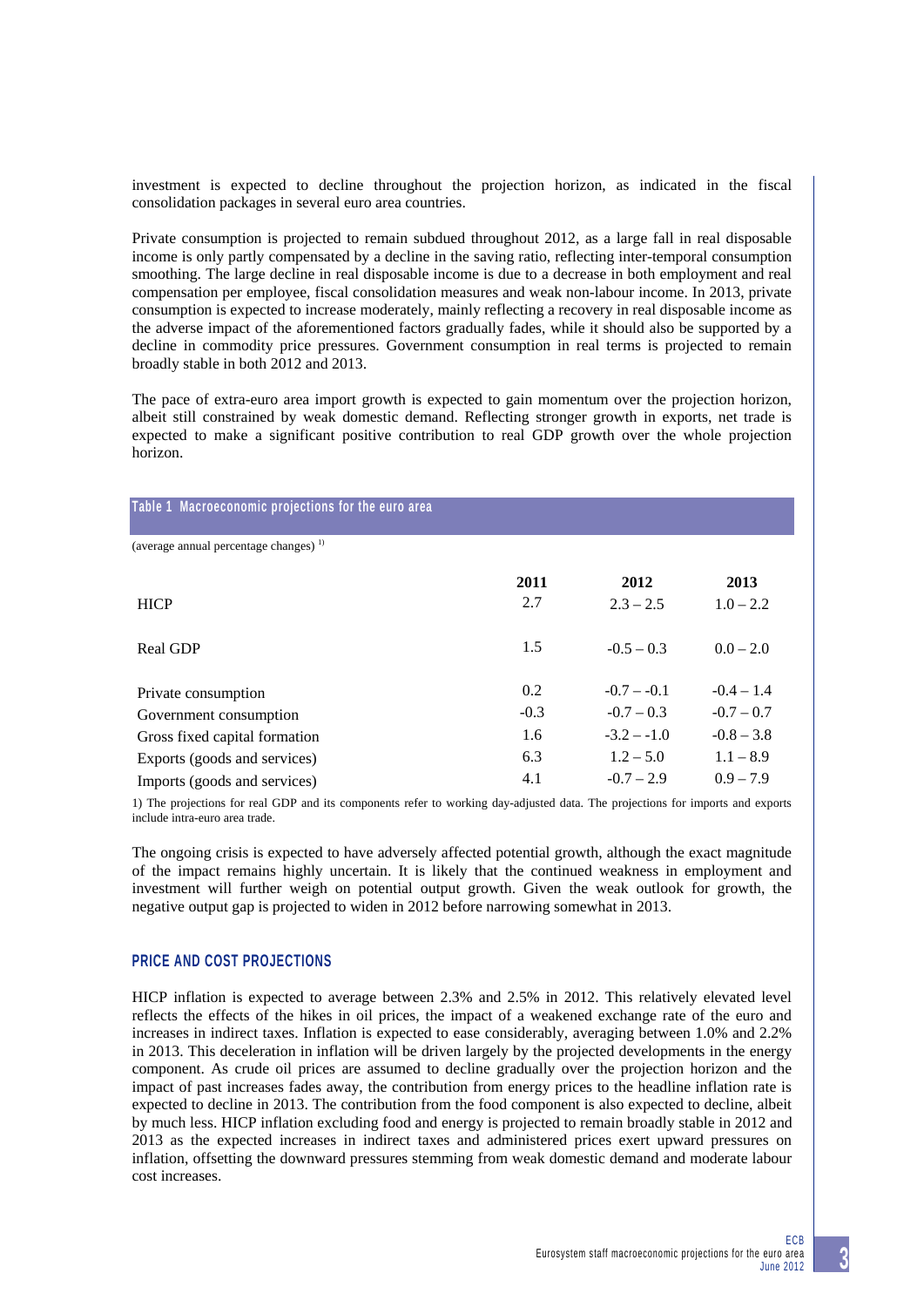investment is expected to decline throughout the projection horizon, as indicated in the fiscal consolidation packages in several euro area countries.

Private consumption is projected to remain subdued throughout 2012, as a large fall in real disposable income is only partly compensated by a decline in the saving ratio, reflecting inter-temporal consumption smoothing. The large decline in real disposable income is due to a decrease in both employment and real compensation per employee, fiscal consolidation measures and weak non-labour income. In 2013, private consumption is expected to increase moderately, mainly reflecting a recovery in real disposable income as the adverse impact of the aforementioned factors gradually fades, while it should also be supported by a decline in commodity price pressures. Government consumption in real terms is projected to remain broadly stable in both 2012 and 2013.

The pace of extra-euro area import growth is expected to gain momentum over the projection horizon, albeit still constrained by weak domestic demand. Reflecting stronger growth in exports, net trade is expected to make a significant positive contribution to real GDP growth over the whole projection horizon.

| Table 1 Macroeconomic projections for the euro area |        |               |              |
|-----------------------------------------------------|--------|---------------|--------------|
| (average annual percentage changes) <sup>1)</sup>   |        |               |              |
|                                                     | 2011   | 2012          | 2013         |
| <b>HICP</b>                                         | 2.7    | $2.3 - 2.5$   | $1.0 - 2.2$  |
| <b>Real GDP</b>                                     | 1.5    | $-0.5 - 0.3$  | $0.0 - 2.0$  |
| Private consumption                                 | 0.2    | $-0.7 - 0.1$  | $-0.4 - 1.4$ |
| Government consumption                              | $-0.3$ | $-0.7 - 0.3$  | $-0.7 - 0.7$ |
| Gross fixed capital formation                       | 1.6    | $-3.2 - -1.0$ | $-0.8 - 3.8$ |
| Exports (goods and services)                        | 6.3    | $1.2 - 5.0$   | $1.1 - 8.9$  |
| Imports (goods and services)                        | 4.1    | $-0.7 - 2.9$  | $0.9 - 7.9$  |

1) The projections for real GDP and its components refer to working day-adjusted data. The projections for imports and exports include intra-euro area trade.

The ongoing crisis is expected to have adversely affected potential growth, although the exact magnitude of the impact remains highly uncertain. It is likely that the continued weakness in employment and investment will further weigh on potential output growth. Given the weak outlook for growth, the negative output gap is projected to widen in 2012 before narrowing somewhat in 2013.

### **PRICE AND COST PROJECTIONS**

HICP inflation is expected to average between 2.3% and 2.5% in 2012. This relatively elevated level reflects the effects of the hikes in oil prices, the impact of a weakened exchange rate of the euro and increases in indirect taxes. Inflation is expected to ease considerably, averaging between 1.0% and 2.2% in 2013. This deceleration in inflation will be driven largely by the projected developments in the energy component. As crude oil prices are assumed to decline gradually over the projection horizon and the impact of past increases fades away, the contribution from energy prices to the headline inflation rate is expected to decline in 2013. The contribution from the food component is also expected to decline, albeit by much less. HICP inflation excluding food and energy is projected to remain broadly stable in 2012 and 2013 as the expected increases in indirect taxes and administered prices exert upward pressures on inflation, offsetting the downward pressures stemming from weak domestic demand and moderate labour cost increases.

# **3**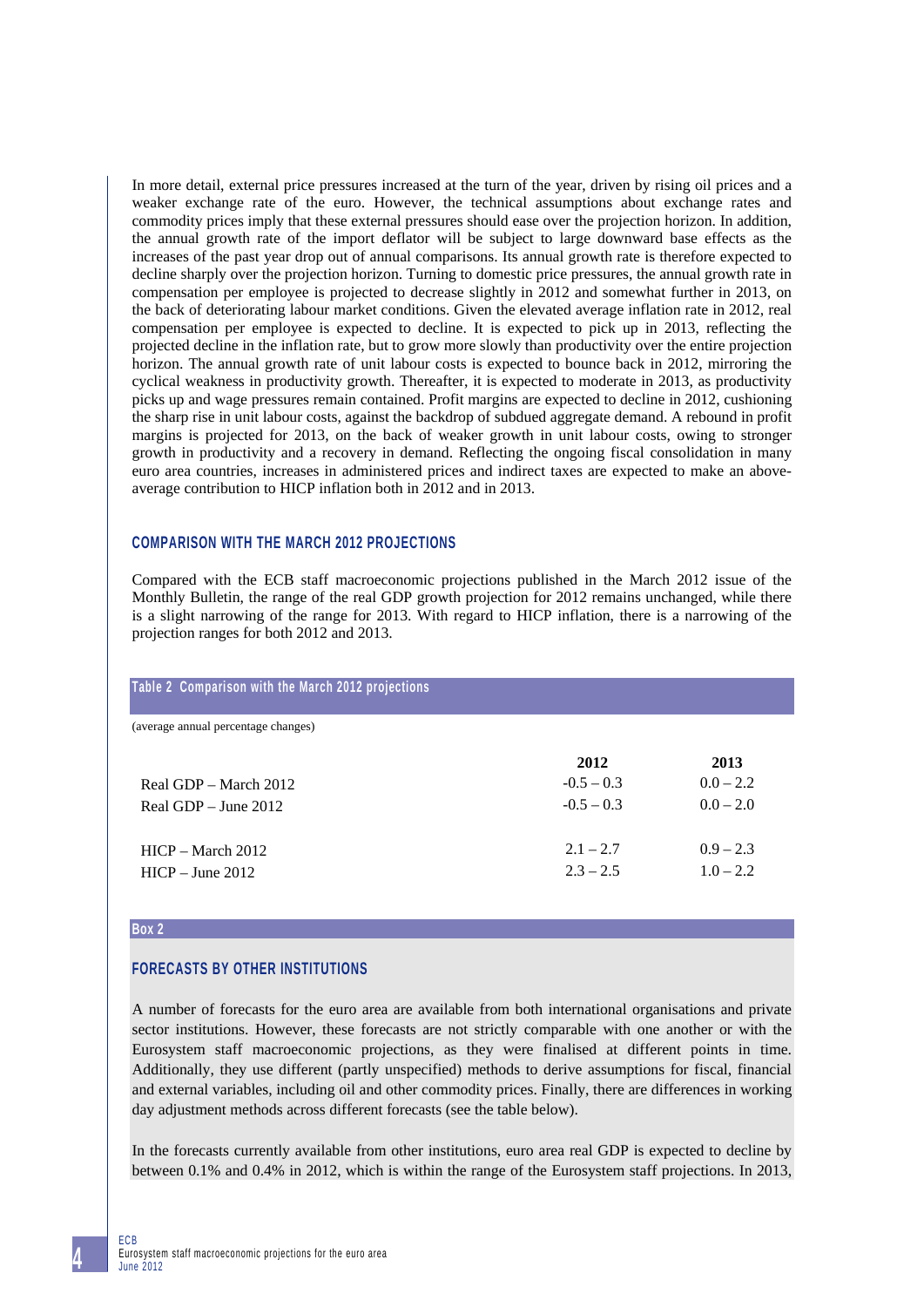In more detail, external price pressures increased at the turn of the year, driven by rising oil prices and a weaker exchange rate of the euro. However, the technical assumptions about exchange rates and commodity prices imply that these external pressures should ease over the projection horizon. In addition, the annual growth rate of the import deflator will be subject to large downward base effects as the increases of the past year drop out of annual comparisons. Its annual growth rate is therefore expected to decline sharply over the projection horizon. Turning to domestic price pressures, the annual growth rate in compensation per employee is projected to decrease slightly in 2012 and somewhat further in 2013, on the back of deteriorating labour market conditions. Given the elevated average inflation rate in 2012, real compensation per employee is expected to decline. It is expected to pick up in 2013, reflecting the projected decline in the inflation rate, but to grow more slowly than productivity over the entire projection horizon. The annual growth rate of unit labour costs is expected to bounce back in 2012, mirroring the cyclical weakness in productivity growth. Thereafter, it is expected to moderate in 2013, as productivity picks up and wage pressures remain contained. Profit margins are expected to decline in 2012, cushioning the sharp rise in unit labour costs, against the backdrop of subdued aggregate demand. A rebound in profit margins is projected for 2013, on the back of weaker growth in unit labour costs, owing to stronger growth in productivity and a recovery in demand. Reflecting the ongoing fiscal consolidation in many euro area countries, increases in administered prices and indirect taxes are expected to make an aboveaverage contribution to HICP inflation both in 2012 and in 2013.

### **COMPARISON WITH THE MARCH 2012 PROJECTIONS**

Compared with the ECB staff macroeconomic projections published in the March 2012 issue of the Monthly Bulletin, the range of the real GDP growth projection for 2012 remains unchanged, while there is a slight narrowing of the range for 2013. With regard to HICP inflation, there is a narrowing of the projection ranges for both 2012 and 2013.

| Table 2 Comparison with the March 2012 projections |                                      |                                    |
|----------------------------------------------------|--------------------------------------|------------------------------------|
| (average annual percentage changes)                |                                      |                                    |
| Real GDP – March 2012<br>Real GDP $-$ June 2012    | 2012<br>$-0.5 - 0.3$<br>$-0.5 - 0.3$ | 2013<br>$0.0 - 2.2$<br>$0.0 - 2.0$ |
| $HICP - March 2012$<br>$HICP - June 2012$          | $2.1 - 2.7$<br>$2.3 - 2.5$           | $0.9 - 2.3$<br>$1.0 - 2.2$         |

#### **Box 2**

# **FORECASTS BY OTHER INSTITUTIONS**

A number of forecasts for the euro area are available from both international organisations and private sector institutions. However, these forecasts are not strictly comparable with one another or with the Eurosystem staff macroeconomic projections, as they were finalised at different points in time. Additionally, they use different (partly unspecified) methods to derive assumptions for fiscal, financial and external variables, including oil and other commodity prices. Finally, there are differences in working day adjustment methods across different forecasts (see the table below).

In the forecasts currently available from other institutions, euro area real GDP is expected to decline by between 0.1% and 0.4% in 2012, which is within the range of the Eurosystem staff projections. In 2013,

ECB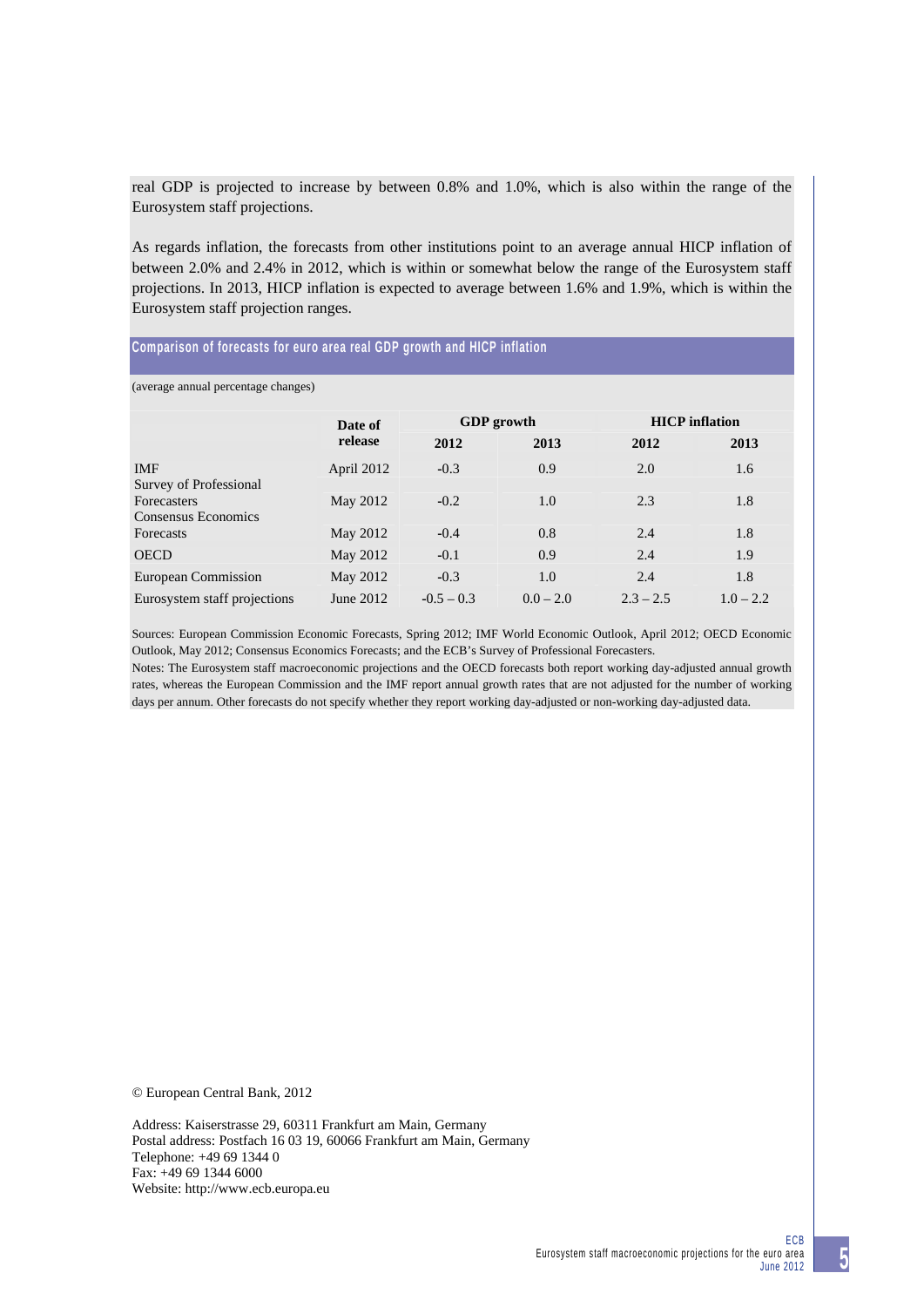real GDP is projected to increase by between 0.8% and 1.0%, which is also within the range of the Eurosystem staff projections.

As regards inflation, the forecasts from other institutions point to an average annual HICP inflation of between 2.0% and 2.4% in 2012, which is within or somewhat below the range of the Eurosystem staff projections. In 2013, HICP inflation is expected to average between 1.6% and 1.9%, which is within the Eurosystem staff projection ranges.

### **Comparison of forecasts for euro area real GDP growth and HICP inflation**

(average annual percentage changes)

|                                           | Date of<br>release | <b>GDP</b> growth |             | <b>HICP</b> inflation |             |
|-------------------------------------------|--------------------|-------------------|-------------|-----------------------|-------------|
|                                           |                    | 2012              | 2013        | 2012                  | 2013        |
| <b>IMF</b><br>Survey of Professional      | April 2012         | $-0.3$            | 0.9         | 2.0                   | 1.6         |
| <b>Forecasters</b><br>Consensus Economics | May 2012           | $-0.2$            | 1.0         | 2.3                   | 1.8         |
| <b>Forecasts</b>                          | May 2012           | $-0.4$            | 0.8         | 2.4                   | 1.8         |
| <b>OECD</b>                               | May 2012           | $-0.1$            | 0.9         | 2.4                   | 1.9         |
| <b>European Commission</b>                | May 2012           | $-0.3$            | 1.0         | 2.4                   | 1.8         |
| Eurosystem staff projections              | June 2012          | $-0.5 - 0.3$      | $0.0 - 2.0$ | $2.3 - 2.5$           | $1.0 - 2.2$ |

Sources: European Commission Economic Forecasts, Spring 2012; IMF World Economic Outlook, April 2012; OECD Economic Outlook, May 2012; Consensus Economics Forecasts; and the ECB's Survey of Professional Forecasters.

Notes: The Eurosystem staff macroeconomic projections and the OECD forecasts both report working day-adjusted annual growth rates, whereas the European Commission and the IMF report annual growth rates that are not adjusted for the number of working days per annum. Other forecasts do not specify whether they report working day-adjusted or non-working day-adjusted data.

© European Central Bank, 2012

Address: Kaiserstrasse 29, 60311 Frankfurt am Main, Germany Postal address: Postfach 16 03 19, 60066 Frankfurt am Main, Germany Telephone: +49 69 1344 0 Fax: +49 69 1344 6000 Website: http://www.ecb.europa.eu